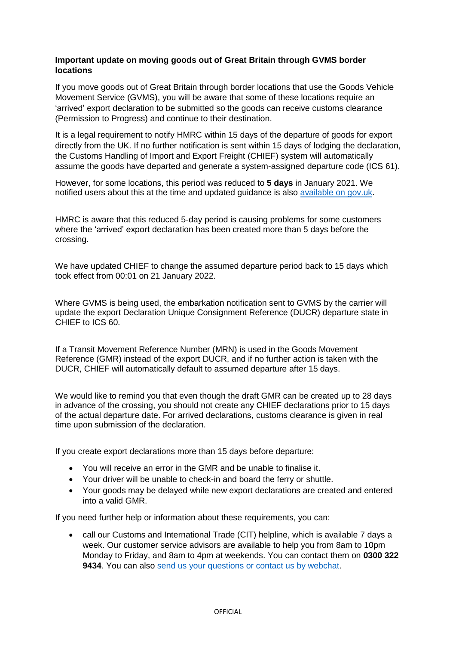## **Important update on moving goods out of Great Britain through GVMS border locations**

If you move goods out of Great Britain through border locations that use the Goods Vehicle Movement Service (GVMS), you will be aware that some of these locations require an 'arrived' export declaration to be submitted so the goods can receive customs clearance (Permission to Progress) and continue to their destination.

It is a legal requirement to notify HMRC within 15 days of the departure of goods for export directly from the UK. If no further notification is sent within 15 days of lodging the declaration, the Customs Handling of Import and Export Freight (CHIEF) system will automatically assume the goods have departed and generate a system-assigned departure code (ICS 61).

However, for some locations, this period was reduced to **5 days** in January 2021. We notified users about this at the time and updated guidance is also [available on gov.uk.](https://www.gov.uk/guidance/sending-goods-to-the-eu-through-roll-on-roll-off-ports-or-the-channel-tunnel)

HMRC is aware that this reduced 5-day period is causing problems for some customers where the 'arrived' export declaration has been created more than 5 days before the crossing.

We have updated CHIEF to change the assumed departure period back to 15 days which took effect from 00:01 on 21 January 2022.

Where GVMS is being used, the embarkation notification sent to GVMS by the carrier will update the export Declaration Unique Consignment Reference (DUCR) departure state in CHIEF to ICS 60.

If a Transit Movement Reference Number (MRN) is used in the Goods Movement Reference (GMR) instead of the export DUCR, and if no further action is taken with the DUCR, CHIEF will automatically default to assumed departure after 15 days.

We would like to remind you that even though the draft GMR can be created up to 28 days in advance of the crossing, you should not create any CHIEF declarations prior to 15 days of the actual departure date. For arrived declarations, customs clearance is given in real time upon submission of the declaration.

If you create export declarations more than 15 days before departure:

- You will receive an error in the GMR and be unable to finalise it.
- Your driver will be unable to check-in and board the ferry or shuttle.
- Your goods may be delayed while new export declarations are created and entered into a valid GMR.

If you need further help or information about these requirements, you can:

 call our Customs and International Trade (CIT) helpline, which is available 7 days a week. Our customer service advisors are available to help you from 8am to 10pm Monday to Friday, and 8am to 4pm at weekends. You can contact them on **0300 322 9434.** You can also [send us your questions or contact us by webchat.](https://www.gov.uk/government/organisations/hm-revenue-customs/contact/customs-international-trade-and-excise-enquiries?&utm_source=haulier30&utm_medium=stk_email&utm_campaign=transition&utm_content=Dec21)